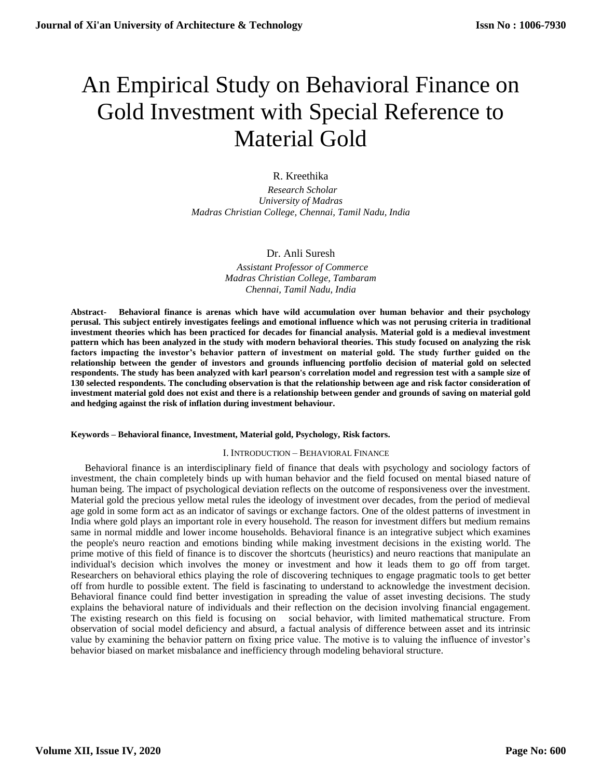# An Empirical Study on Behavioral Finance on Gold Investment with Special Reference to Material Gold

# R. Kreethika

 *Research Scholar University of Madras Madras Christian College, Chennai, Tamil Nadu, India*

# Dr. Anli Suresh

 *Assistant Professor of Commerce Madras Christian College, Tambaram Chennai, Tamil Nadu, India*

**Abstract- Behavioral finance is arenas which have wild accumulation over human behavior and their psychology perusal. This subject entirely investigates feelings and emotional influence which was not perusing criteria in traditional investment theories which has been practiced for decades for financial analysis. Material gold is a medieval investment pattern which has been analyzed in the study with modern behavioral theories. This study focused on analyzing the risk factors impacting the investor's behavior pattern of investment on material gold. The study further guided on the relationship between the gender of investors and grounds influencing portfolio decision of material gold on selected respondents. The study has been analyzed with karl pearson's correlation model and regression test with a sample size of 130 selected respondents. The concluding observation is that the relationship between age and risk factor consideration of investment material gold does not exist and there is a relationship between gender and grounds of saving on material gold and hedging against the risk of inflation during investment behaviour.**

#### **Keywords – Behavioral finance, Investment, Material gold, Psychology, Risk factors.**

## I. INTRODUCTION – BEHAVIORAL FINANCE

Behavioral finance is an interdisciplinary field of finance that deals with psychology and sociology factors of investment, the chain completely binds up with human behavior and the field focused on mental biased nature of human being. The impact of psychological deviation reflects on the outcome of responsiveness over the investment. Material gold the precious yellow metal rules the ideology of investment over decades, from the period of medieval age gold in some form act as an indicator of savings or exchange factors. One of the oldest patterns of investment in India where gold plays an important role in every household. The reason for investment differs but medium remains same in normal middle and lower income households. Behavioral finance is an integrative subject which examines the people's neuro reaction and emotions binding while making investment decisions in the existing world. The prime motive of this field of finance is to discover the shortcuts (heuristics) and neuro reactions that manipulate an individual's decision which involves the money or investment and how it leads them to go off from target. Researchers on behavioral ethics playing the role of discovering techniques to engage pragmatic tools to get better off from hurdle to possible extent. The field is fascinating to understand to acknowledge the investment decision. Behavioral finance could find better investigation in spreading the value of asset investing decisions. The study explains the behavioral nature of individuals and their reflection on the decision involving financial engagement. The existing research on this field is focusing on social behavior, with limited mathematical structure. From observation of social model deficiency and absurd, a factual analysis of difference between asset and its intrinsic value by examining the behavior pattern on fixing price value. The motive is to valuing the influence of investor's behavior biased on market misbalance and inefficiency through modeling behavioral structure.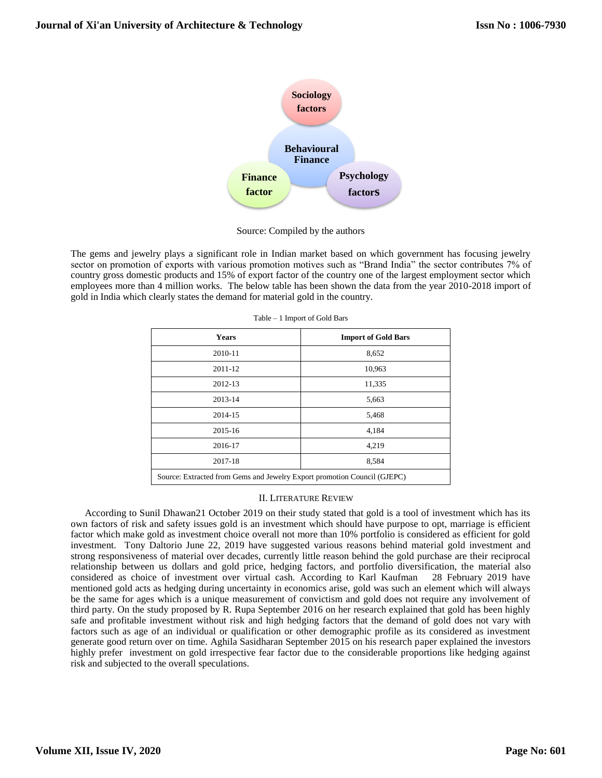

Source: Compiled by the authors

The gems and jewelry plays a significant role in Indian market based on which government has focusing jewelry sector on promotion of exports with various promotion motives such as "Brand India" the sector contributes 7% of country gross domestic products and 15% of export factor of the country one of the largest employment sector which employees more than 4 million works. The below table has been shown the data from the year 2010-2018 import of gold in India which clearly states the demand for material gold in the country.

| <b>Years</b> | <b>Import of Gold Bars</b>                                               |  |  |  |  |
|--------------|--------------------------------------------------------------------------|--|--|--|--|
| 2010-11      | 8,652                                                                    |  |  |  |  |
| 2011-12      | 10,963                                                                   |  |  |  |  |
| 2012-13      | 11,335                                                                   |  |  |  |  |
| 2013-14      | 5,663                                                                    |  |  |  |  |
| 2014-15      | 5,468                                                                    |  |  |  |  |
| 2015-16      | 4,184                                                                    |  |  |  |  |
| 2016-17      | 4,219                                                                    |  |  |  |  |
| 2017-18      | 8,584                                                                    |  |  |  |  |
|              | Source: Extracted from Gems and Jewelry Export promotion Council (GJEPC) |  |  |  |  |

Table – 1 Import of Gold Bars

## II. LITERATURE REVIEW

According to Sunil Dhawan21 October 2019 on their study stated that gold is a tool of investment which has its own factors of risk and safety issues gold is an investment which should have purpose to opt, marriage is efficient factor which make gold as investment choice overall not more than 10% portfolio is considered as efficient for gold investment. Tony Daltorio June 22, 2019 have suggested various reasons behind material gold investment and strong responsiveness of material over decades, currently little reason behind the gold purchase are their reciprocal relationship between us dollars and gold price, hedging factors, and portfolio diversification, the material also considered as choice of investment over virtual cash. According to Karl Kaufman 28 February 2019 have mentioned gold acts as hedging during uncertainty in economics arise, gold was such an element which will always be the same for ages which is a unique measurement of convictism and gold does not require any involvement of third party. On the study proposed by R. Rupa September 2016 on her research explained that gold has been highly safe and profitable investment without risk and high hedging factors that the demand of gold does not vary with factors such as age of an individual or qualification or other demographic profile as its considered as investment generate good return over on time. Aghila Sasidharan September 2015 on his research paper explained the investors highly prefer investment on gold irrespective fear factor due to the considerable proportions like hedging against risk and subjected to the overall speculations.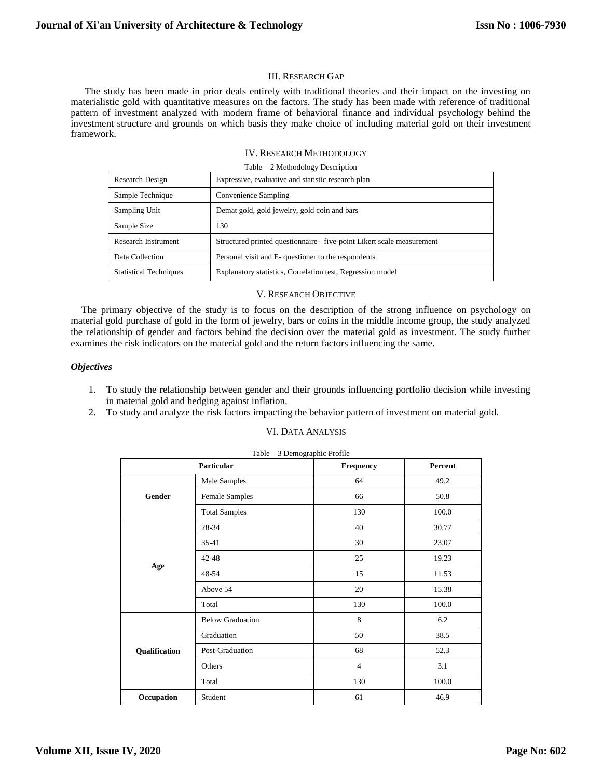## III. RESEARCH GAP

The study has been made in prior deals entirely with traditional theories and their impact on the investing on materialistic gold with quantitative measures on the factors. The study has been made with reference of traditional pattern of investment analyzed with modern frame of behavioral finance and individual psychology behind the investment structure and grounds on which basis they make choice of including material gold on their investment framework.

### IV. RESEARCH METHODOLOGY

| Table – 2 Methodology Description |  |  |  |
|-----------------------------------|--|--|--|
|                                   |  |  |  |

| Research Design               | Expressive, evaluative and statistic research plan                    |  |  |  |
|-------------------------------|-----------------------------------------------------------------------|--|--|--|
| Sample Technique              | Convenience Sampling                                                  |  |  |  |
| Sampling Unit                 | Demat gold, gold jewelry, gold coin and bars                          |  |  |  |
| Sample Size                   | 130                                                                   |  |  |  |
| Research Instrument           | Structured printed questionnaire- five-point Likert scale measurement |  |  |  |
| Data Collection               | Personal visit and E- questioner to the respondents                   |  |  |  |
| <b>Statistical Techniques</b> | Explanatory statistics, Correlation test, Regression model            |  |  |  |

## V. RESEARCH OBJECTIVE

The primary objective of the study is to focus on the description of the strong influence on psychology on material gold purchase of gold in the form of jewelry, bars or coins in the middle income group, the study analyzed the relationship of gender and factors behind the decision over the material gold as investment. The study further examines the risk indicators on the material gold and the return factors influencing the same.

## *Objectives*

- 1. To study the relationship between gender and their grounds influencing portfolio decision while investing in material gold and hedging against inflation.
- 2. To study and analyze the risk factors impacting the behavior pattern of investment on material gold.

## VI. DATA ANALYSIS

|               | Particular              | Frequency      | Percent |
|---------------|-------------------------|----------------|---------|
|               | Male Samples            | 64             | 49.2    |
| Gender        | <b>Female Samples</b>   | 66             | 50.8    |
|               | <b>Total Samples</b>    | 130            | 100.0   |
|               | 28-34                   | 40             | 30.77   |
|               | $35 - 41$               | 30             | 23.07   |
|               | 42-48                   | 25             | 19.23   |
| Age           | 48-54                   | 15             | 11.53   |
|               | Above 54                | 20             | 15.38   |
|               | Total                   | 130            | 100.0   |
|               | <b>Below Graduation</b> | 8              | 6.2     |
|               | Graduation              | 50             | 38.5    |
| Qualification | Post-Graduation         | 68             | 52.3    |
|               | Others                  | $\overline{4}$ | 3.1     |
|               | Total                   | 130            | 100.0   |
| Occupation    | Student                 | 61             | 46.9    |

# Table – 3 Demographic Profile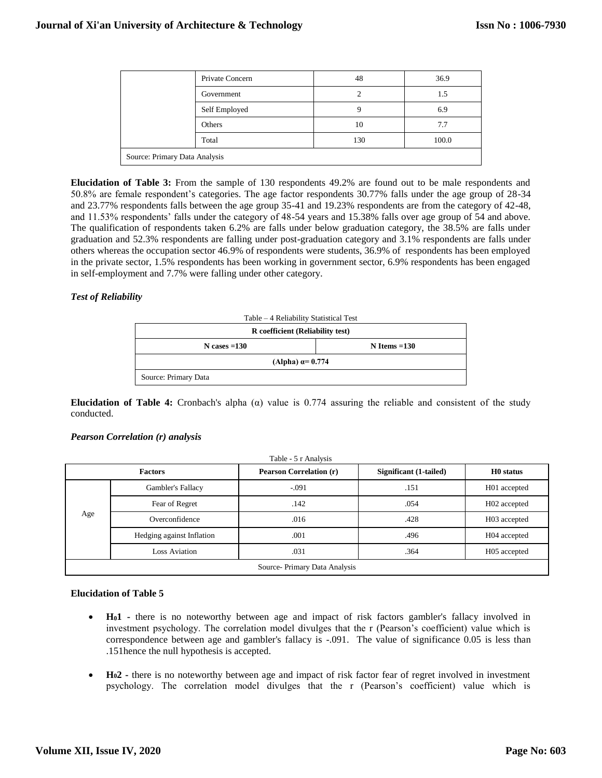|                               | Private Concern | 48  | 36.9  |  |  |
|-------------------------------|-----------------|-----|-------|--|--|
|                               | Government      |     | 1.5   |  |  |
|                               | Self Employed   |     | 6.9   |  |  |
|                               | Others          | 10  | 7.7   |  |  |
|                               | Total           | 130 | 100.0 |  |  |
| Source: Primary Data Analysis |                 |     |       |  |  |

**Elucidation of Table 3:** From the sample of 130 respondents 49.2% are found out to be male respondents and 50.8% are female respondent's categories. The age factor respondents 30.77% falls under the age group of 28-34 and 23.77% respondents falls between the age group 35-41 and 19.23% respondents are from the category of 42-48, and 11.53% respondents' falls under the category of 48-54 years and 15.38% falls over age group of 54 and above. The qualification of respondents taken 6.2% are falls under below graduation category, the 38.5% are falls under graduation and 52.3% respondents are falling under post-graduation category and 3.1% respondents are falls under others whereas the occupation sector 46.9% of respondents were students, 36.9% of respondents has been employed in the private sector, 1.5% respondents has been working in government sector, 6.9% respondents has been engaged in self-employment and 7.7% were falling under other category.

## *Test of Reliability*

| Table – 4 Reliability Statistical Test |  |  |  |  |  |
|----------------------------------------|--|--|--|--|--|
| R coefficient (Reliability test)       |  |  |  |  |  |
| $N \cases = 130$<br>$N$ Items = 130    |  |  |  |  |  |
| (Alpha) $\alpha$ = 0.774               |  |  |  |  |  |
| Source: Primary Data                   |  |  |  |  |  |

**Elucidation of Table 4:** Cronbach's alpha (α) value is 0.774 assuring the reliable and consistent of the study conducted.

## *Pearson Correlation (r) analysis*

| <b>Factors</b>               |                           | <b>Pearson Correlation (r)</b> | Significant (1-tailed) | H <sub>0</sub> status |  |  |
|------------------------------|---------------------------|--------------------------------|------------------------|-----------------------|--|--|
| Age                          | Gambler's Fallacy         | $-.091$                        | .151                   | H01 accepted          |  |  |
|                              | Fear of Regret            | .142                           | .054                   | H02 accepted          |  |  |
|                              | Overconfidence            | .016                           | .428                   | H03 accepted          |  |  |
|                              | Hedging against Inflation | .001                           | .496                   | H04 accepted          |  |  |
|                              | <b>Loss Aviation</b>      | .031                           | .364                   | H05 accepted          |  |  |
| Source-Primary Data Analysis |                           |                                |                        |                       |  |  |

## **Elucidation of Table 5**

- **H01 -** there is no noteworthy between age and impact of risk factors gambler's fallacy involved in investment psychology. The correlation model divulges that the r (Pearson's coefficient) value which is correspondence between age and gambler's fallacy is -.091. The value of significance 0.05 is less than .151hence the null hypothesis is accepted.
- **H02 -** there is no noteworthy between age and impact of risk factor fear of regret involved in investment psychology. The correlation model divulges that the r (Pearson's coefficient) value which is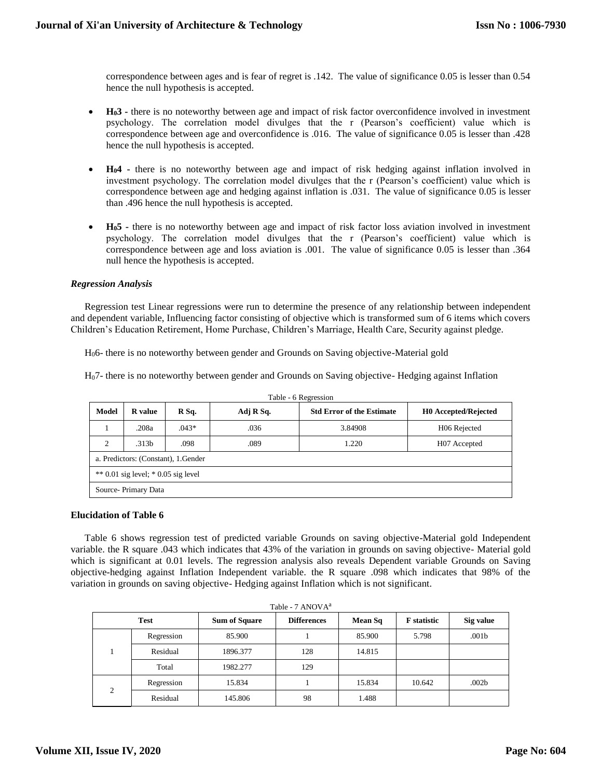correspondence between ages and is fear of regret is .142. The value of significance 0.05 is lesser than 0.54 hence the null hypothesis is accepted.

- **H03 -** there is no noteworthy between age and impact of risk factor overconfidence involved in investment psychology. The correlation model divulges that the r (Pearson's coefficient) value which is correspondence between age and overconfidence is .016. The value of significance 0.05 is lesser than .428 hence the null hypothesis is accepted.
- **H04 -** there is no noteworthy between age and impact of risk hedging against inflation involved in investment psychology. The correlation model divulges that the r (Pearson's coefficient) value which is correspondence between age and hedging against inflation is .031. The value of significance 0.05 is lesser than .496 hence the null hypothesis is accepted.
- **H05 -** there is no noteworthy between age and impact of risk factor loss aviation involved in investment psychology. The correlation model divulges that the r (Pearson's coefficient) value which is correspondence between age and loss aviation is .001. The value of significance 0.05 is lesser than .364 null hence the hypothesis is accepted.

# *Regression Analysis*

Regression test Linear regressions were run to determine the presence of any relationship between independent and dependent variable, Influencing factor consisting of objective which is transformed sum of 6 items which covers Children's Education Retirement, Home Purchase, Children's Marriage, Health Care, Security against pledge.

H06- there is no noteworthy between gender and Grounds on Saving objective-Material gold

H07- there is no noteworthy between gender and Grounds on Saving objective- Hedging against Inflation

| Model                               | <b>R</b> value                                             | R Sq.   | Adj R Sq. | <b>Std Error of the Estimate</b> | <b>HO</b> Accepted/Rejected |  |  |  |  |
|-------------------------------------|------------------------------------------------------------|---------|-----------|----------------------------------|-----------------------------|--|--|--|--|
|                                     | .208a                                                      | $.043*$ | .036      | 3.84908                          | H <sub>06</sub> Rejected    |  |  |  |  |
| $\overline{c}$                      | .313 <sub>b</sub><br>.098<br>.089<br>1.220<br>H07 Accepted |         |           |                                  |                             |  |  |  |  |
|                                     | a. Predictors: (Constant), 1. Gender                       |         |           |                                  |                             |  |  |  |  |
| ** 0.01 sig level; * 0.05 sig level |                                                            |         |           |                                  |                             |  |  |  |  |
|                                     | Source-Primary Data                                        |         |           |                                  |                             |  |  |  |  |

Table - 6 Regression

## **Elucidation of Table 6**

Table 6 shows regression test of predicted variable Grounds on saving objective-Material gold Independent variable. the R square .043 which indicates that 43% of the variation in grounds on saving objective- Material gold which is significant at 0.01 levels. The regression analysis also reveals Dependent variable Grounds on Saving objective-hedging against Inflation Independent variable. the R square .098 which indicates that 98% of the variation in grounds on saving objective- Hedging against Inflation which is not significant.

| Table - 7 ANOVA <sup>a</sup> |            |                      |                    |         |                    |                   |  |  |
|------------------------------|------------|----------------------|--------------------|---------|--------------------|-------------------|--|--|
| <b>Test</b>                  |            | <b>Sum of Square</b> | <b>Differences</b> | Mean Sq | <b>F</b> statistic | Sig value         |  |  |
|                              | Regression | 85.900               |                    | 85.900  | 5.798              | .001 <sub>b</sub> |  |  |
|                              | Residual   | 1896.377             | 128                | 14.815  |                    |                   |  |  |
|                              | Total      | 1982.277             | 129                |         |                    |                   |  |  |
| 2                            | Regression | 15.834               |                    | 15.834  | 10.642             | .002 <sub>b</sub> |  |  |
|                              | Residual   | 145.806              | 98                 | 1.488   |                    |                   |  |  |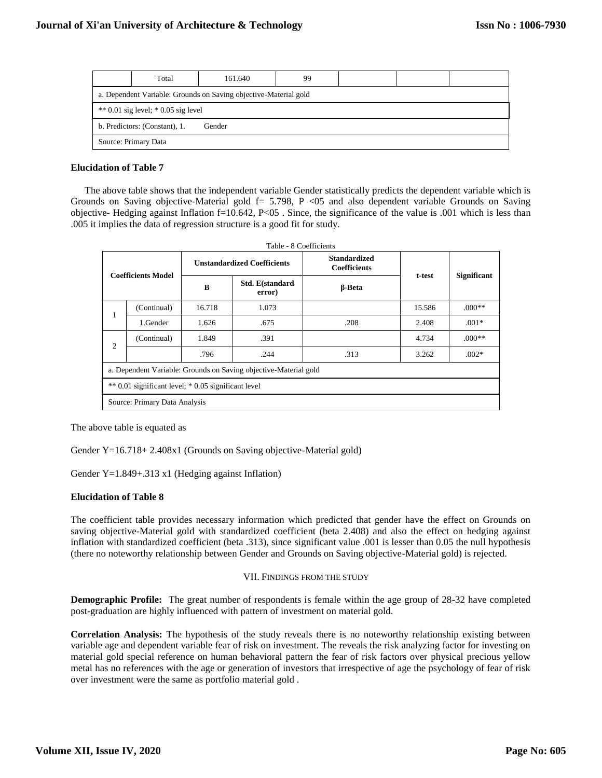|                                                                  | Total                | 161.640 | 99 |  |  |  |  |
|------------------------------------------------------------------|----------------------|---------|----|--|--|--|--|
| a. Dependent Variable: Grounds on Saving objective-Material gold |                      |         |    |  |  |  |  |
| $*$ 0.01 sig level; $*$ 0.05 sig level                           |                      |         |    |  |  |  |  |
| b. Predictors: (Constant), 1.<br>Gender                          |                      |         |    |  |  |  |  |
|                                                                  | Source: Primary Data |         |    |  |  |  |  |

## **Elucidation of Table 7**

The above table shows that the independent variable Gender statistically predicts the dependent variable which is Grounds on Saving objective-Material gold  $f= 5.798$ , P <05 and also dependent variable Grounds on Saving objective- Hedging against Inflation  $f=10.642$ , P<05. Since, the significance of the value is .001 which is less than .005 it implies the data of regression structure is a good fit for study.

| Table - 8 Coefficients                                           |                               |                                    |                           |                                            |        |                    |  |
|------------------------------------------------------------------|-------------------------------|------------------------------------|---------------------------|--------------------------------------------|--------|--------------------|--|
| <b>Coefficients Model</b>                                        |                               | <b>Unstandardized Coefficients</b> |                           | <b>Standardized</b><br><b>Coefficients</b> |        |                    |  |
|                                                                  |                               | B                                  | Std. E(standard<br>error) | <b>B-Beta</b>                              | t-test | <b>Significant</b> |  |
| 1                                                                | (Continual)                   | 16.718                             | 1.073                     |                                            | 15.586 | $.000**$           |  |
|                                                                  | 1.Gender                      | 1.626                              | .675                      | .208                                       | 2.408  | $.001*$            |  |
| $\overline{c}$                                                   | (Continual)                   | 1.849                              | .391                      |                                            | 4.734  | $.000**$           |  |
|                                                                  |                               | .796                               | .244                      | .313                                       | 3.262  | $.002*$            |  |
| a. Dependent Variable: Grounds on Saving objective-Material gold |                               |                                    |                           |                                            |        |                    |  |
| ** 0.01 significant level; * 0.05 significant level              |                               |                                    |                           |                                            |        |                    |  |
|                                                                  | Source: Primary Data Analysis |                                    |                           |                                            |        |                    |  |

The above table is equated as

Gender Y=16.718+ 2.408x1 (Grounds on Saving objective-Material gold)

Gender Y=1.849+.313 x1 (Hedging against Inflation)

## **Elucidation of Table 8**

The coefficient table provides necessary information which predicted that gender have the effect on Grounds on saving objective-Material gold with standardized coefficient (beta 2.408) and also the effect on hedging against inflation with standardized coefficient (beta .313), since significant value .001 is lesser than 0.05 the null hypothesis (there no noteworthy relationship between Gender and Grounds on Saving objective-Material gold) is rejected.

## VII. FINDINGS FROM THE STUDY

**Demographic Profile:** The great number of respondents is female within the age group of 28-32 have completed post-graduation are highly influenced with pattern of investment on material gold.

**Correlation Analysis:** The hypothesis of the study reveals there is no noteworthy relationship existing between variable age and dependent variable fear of risk on investment. The reveals the risk analyzing factor for investing on material gold special reference on human behavioral pattern the fear of risk factors over physical precious yellow metal has no references with the age or generation of investors that irrespective of age the psychology of fear of risk over investment were the same as portfolio material gold .